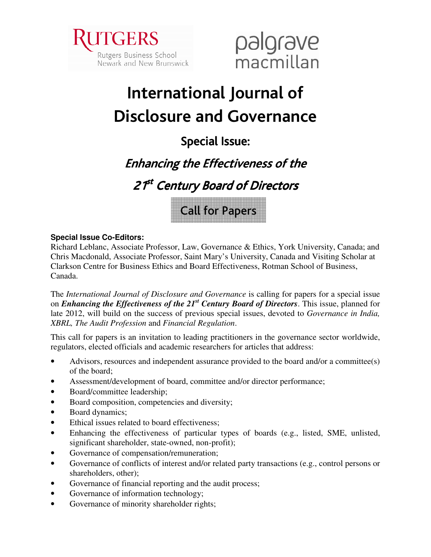



# International Journal of **Disclosure and Governance**

## **Special Issue:**

## **Enhancing the Effectiveness of the**

21<sup>st</sup> Century Board of Directors



#### **Special Issue Co-Editors:**

Richard Leblanc, Associate Professor, Law, Governance & Ethics, York University, Canada; and Chris Macdonald, Associate Professor, Saint Mary's University, Canada and Visiting Scholar at Clarkson Centre for Business Ethics and Board Effectiveness, Rotman School of Business, Canada.

The International Journal of Disclosure and Governance is calling for papers for a special issue on *Enhancing the Effectiveness of the*  $2I<sup>st</sup>$  *Century Board of Directors. This issue, planned for* late 2012, will build on the success of previous special issues, devoted to Governance in India, XBRL, The Audit Profession and Financial Regulation.

This call for papers is an invitation to leading practitioners in the governance sector worldwide. regulators, elected officials and academic researchers for articles that address:

- Advisors, resources and independent assurance provided to the board and/or a committee(s)  $\bullet$ of the board:
- Assessment/development of board, committee and/or director performance;
- Board/committee leadership;  $\bullet$
- Board composition, competencies and diversity;  $\bullet$
- Board dynamics;  $\bullet$
- Ethical issues related to board effectiveness;  $\bullet$
- Enhancing the effectiveness of particular types of boards (e.g., listed, SME, unlisted, significant shareholder, state-owned, non-profit);
- Governance of compensation/remuneration;
- Governance of conflicts of interest and/or related party transactions (e.g., control persons or shareholders, other):
- Governance of financial reporting and the audit process;
- Governance of information technology;  $\bullet$
- Governance of minority shareholder rights;  $\bullet$